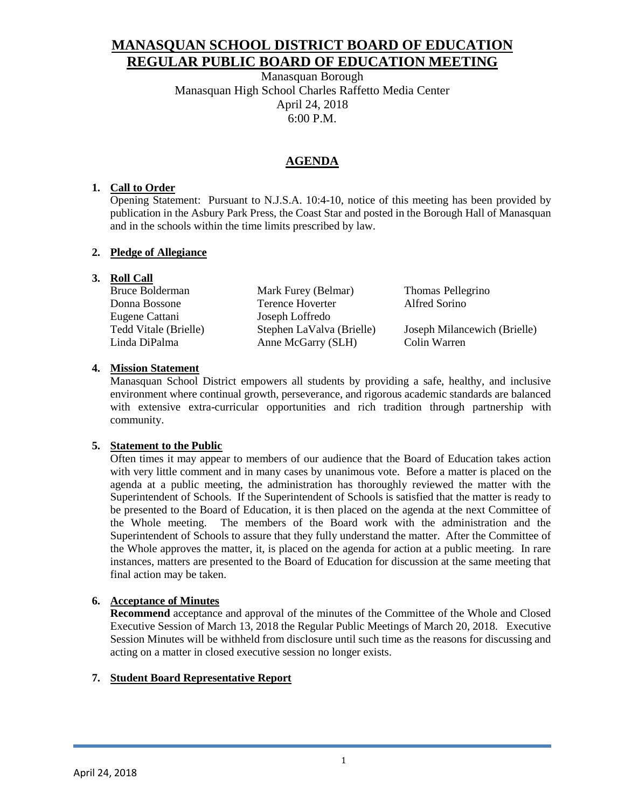# **MANASQUAN SCHOOL DISTRICT BOARD OF EDUCATION REGULAR PUBLIC BOARD OF EDUCATION MEETING**

Manasquan Borough Manasquan High School Charles Raffetto Media Center April 24, 2018 6:00 P.M.

## **AGENDA**

### **1. Call to Order**

Opening Statement: Pursuant to N.J.S.A. 10:4-10, notice of this meeting has been provided by publication in the Asbury Park Press, the Coast Star and posted in the Borough Hall of Manasquan and in the schools within the time limits prescribed by law.

#### **2. Pledge of Allegiance**

### **3. Roll Call**

| Bruce Bolderman       | Mark Furey (Belmar)       | Thomas Pellegrino            |
|-----------------------|---------------------------|------------------------------|
| Donna Bossone         | Terence Hoverter          | Alfred Sorino                |
| Eugene Cattani        | Joseph Loffredo           |                              |
| Tedd Vitale (Brielle) | Stephen LaValva (Brielle) | Joseph Milancewich (Brielle) |
| Linda DiPalma         | Anne McGarry (SLH)        | Colin Warren                 |
|                       |                           |                              |

#### **4. Mission Statement**

Manasquan School District empowers all students by providing a safe, healthy, and inclusive environment where continual growth, perseverance, and rigorous academic standards are balanced with extensive extra-curricular opportunities and rich tradition through partnership with community.

### **5. Statement to the Public**

Often times it may appear to members of our audience that the Board of Education takes action with very little comment and in many cases by unanimous vote. Before a matter is placed on the agenda at a public meeting, the administration has thoroughly reviewed the matter with the Superintendent of Schools. If the Superintendent of Schools is satisfied that the matter is ready to be presented to the Board of Education, it is then placed on the agenda at the next Committee of the Whole meeting. The members of the Board work with the administration and the Superintendent of Schools to assure that they fully understand the matter. After the Committee of the Whole approves the matter, it, is placed on the agenda for action at a public meeting. In rare instances, matters are presented to the Board of Education for discussion at the same meeting that final action may be taken.

### **6. Acceptance of Minutes**

**Recommend** acceptance and approval of the minutes of the Committee of the Whole and Closed Executive Session of March 13, 2018 the Regular Public Meetings of March 20, 2018. Executive Session Minutes will be withheld from disclosure until such time as the reasons for discussing and acting on a matter in closed executive session no longer exists.

### **7. Student Board Representative Report**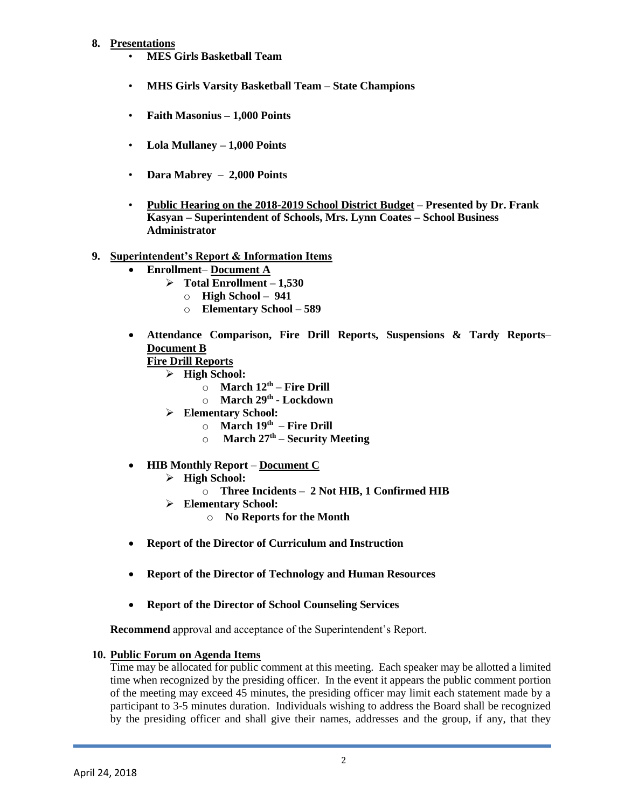#### **8. Presentations**

- **MES Girls Basketball Team**
- **MHS Girls Varsity Basketball Team – State Champions**
- **Faith Masonius – 1,000 Points**
- **Lola Mullaney – 1,000 Points**
- **Dara Mabrey – 2,000 Points**
- **Public Hearing on the 2018-2019 School District Budget – Presented by Dr. Frank Kasyan – Superintendent of Schools, Mrs. Lynn Coates – School Business Administrator**
- **9. Superintendent's Report & Information Items**
	- **Enrollment Document A**
		- **Total Enrollment – 1,530**
			- o **High School 941**
			- o **Elementary School – 589**
	- **Attendance Comparison, Fire Drill Reports, Suspensions & Tardy Reports Document B**

**Fire Drill Reports**

- **High School:**
	- o **March 12th – Fire Drill**
	- o **March 29th - Lockdown**
- **Elementary School:**
	- o **March 19th – Fire Drill**
	- o **March 27th – Security Meeting**
- **HIB Monthly Report Document C**
	- **High School:**
		- o **Three Incidents 2 Not HIB, 1 Confirmed HIB**
	- **Elementary School:**
		- o **No Reports for the Month**
- **Report of the Director of Curriculum and Instruction**
- **Report of the Director of Technology and Human Resources**
- **Report of the Director of School Counseling Services**

**Recommend** approval and acceptance of the Superintendent's Report.

### **10. Public Forum on Agenda Items**

Time may be allocated for public comment at this meeting. Each speaker may be allotted a limited time when recognized by the presiding officer. In the event it appears the public comment portion of the meeting may exceed 45 minutes, the presiding officer may limit each statement made by a participant to 3-5 minutes duration. Individuals wishing to address the Board shall be recognized by the presiding officer and shall give their names, addresses and the group, if any, that they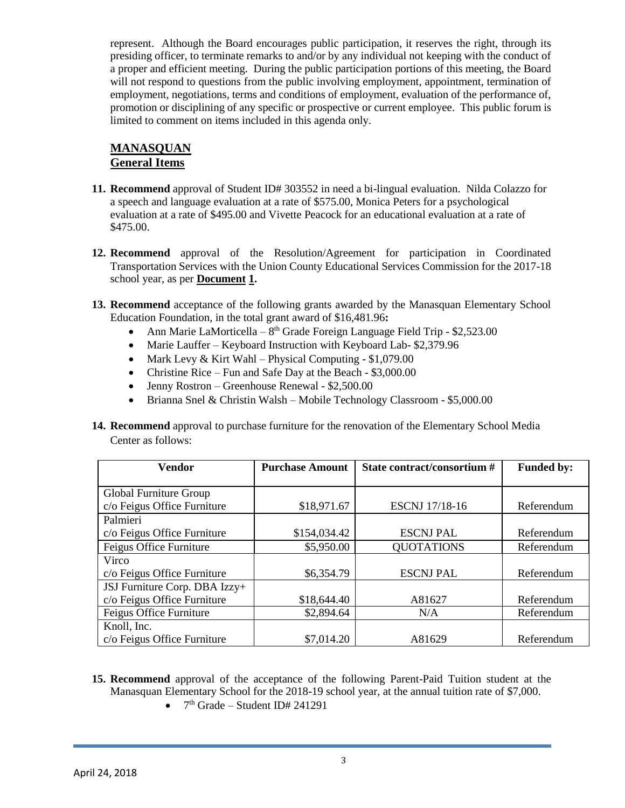represent. Although the Board encourages public participation, it reserves the right, through its presiding officer, to terminate remarks to and/or by any individual not keeping with the conduct of a proper and efficient meeting. During the public participation portions of this meeting, the Board will not respond to questions from the public involving employment, appointment, termination of employment, negotiations, terms and conditions of employment, evaluation of the performance of, promotion or disciplining of any specific or prospective or current employee. This public forum is limited to comment on items included in this agenda only.

## **MANASQUAN General Items**

- **11. Recommend** approval of Student ID# 303552 in need a bi-lingual evaluation. Nilda Colazzo for a speech and language evaluation at a rate of \$575.00, Monica Peters for a psychological evaluation at a rate of \$495.00 and Vivette Peacock for an educational evaluation at a rate of \$475.00.
- **12. Recommend** approval of the Resolution/Agreement for participation in Coordinated Transportation Services with the Union County Educational Services Commission for the 2017-18 school year, as per **Document 1.**
- **13. Recommend** acceptance of the following grants awarded by the Manasquan Elementary School Education Foundation, in the total grant award of \$16,481.96**:**
	- Ann Marie LaMorticella  $8<sup>th</sup>$  Grade Foreign Language Field Trip \$2,523.00
	- Marie Lauffer Keyboard Instruction with Keyboard Lab- \$2,379.96
	- Mark Levy & Kirt Wahl Physical Computing  $$1,079.00$
	- Christine Rice Fun and Safe Day at the Beach \$3,000.00
	- Jenny Rostron Greenhouse Renewal \$2,500.00
	- Brianna Snel & Christin Walsh Mobile Technology Classroom \$5,000.00
- **14. Recommend** approval to purchase furniture for the renovation of the Elementary School Media Center as follows:

| <b>Vendor</b>                 | <b>Purchase Amount</b> | State contract/consortium # | <b>Funded by:</b> |
|-------------------------------|------------------------|-----------------------------|-------------------|
|                               |                        |                             |                   |
| Global Furniture Group        |                        |                             |                   |
| c/o Feigus Office Furniture   | \$18,971.67            | <b>ESCNJ</b> 17/18-16       | Referendum        |
| Palmieri                      |                        |                             |                   |
| c/o Feigus Office Furniture   | \$154,034.42           | <b>ESCNJ PAL</b>            | Referendum        |
| Feigus Office Furniture       | \$5,950.00             | <b>QUOTATIONS</b>           | Referendum        |
| Virco                         |                        |                             |                   |
| c/o Feigus Office Furniture   | \$6,354.79             | <b>ESCNJ PAL</b>            | Referendum        |
| JSJ Furniture Corp. DBA Izzy+ |                        |                             |                   |
| c/o Feigus Office Furniture   | \$18,644.40            | A81627                      | Referendum        |
| Feigus Office Furniture       | \$2,894.64             | N/A                         | Referendum        |
| Knoll, Inc.                   |                        |                             |                   |
| c/o Feigus Office Furniture   | \$7,014.20             | A81629                      | Referendum        |

- **15. Recommend** approval of the acceptance of the following Parent-Paid Tuition student at the Manasquan Elementary School for the 2018-19 school year, at the annual tuition rate of \$7,000.
	- $7<sup>th</sup>$  Grade Student ID# 241291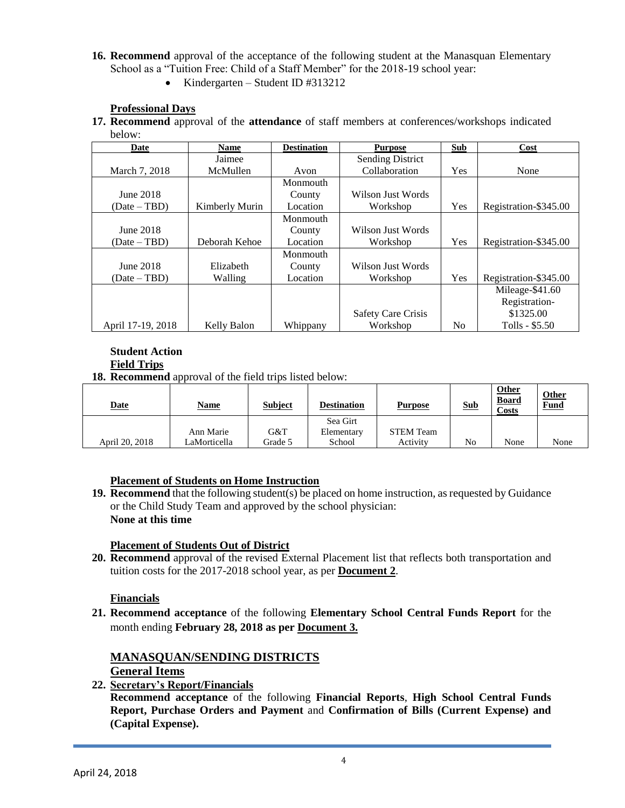- **16. Recommend** approval of the acceptance of the following student at the Manasquan Elementary School as a "Tuition Free: Child of a Staff Member" for the 2018-19 school year:
	- Kindergarten Student ID #313212

#### **Professional Days**

**17. Recommend** approval of the **attendance** of staff members at conferences/workshops indicated below:

| Date              | <b>Name</b>    | <b>Destination</b> | <b>Purpose</b>            | <b>Sub</b>     | Cost                  |
|-------------------|----------------|--------------------|---------------------------|----------------|-----------------------|
|                   | Jaimee         |                    | <b>Sending District</b>   |                |                       |
| March 7, 2018     | McMullen       | Avon               | Collaboration             | Yes            | None                  |
|                   |                | Monmouth           |                           |                |                       |
| June 2018         |                | County             | Wilson Just Words         |                |                       |
| $(Date - TBD)$    | Kimberly Murin | Location           | Workshop                  | Yes            | Registration-\$345.00 |
|                   |                | Monmouth           |                           |                |                       |
| June 2018         |                | County             | Wilson Just Words         |                |                       |
| $(Date - TBD)$    | Deborah Kehoe  | Location           | Workshop                  | Yes            | Registration-\$345.00 |
|                   |                | Monmouth           |                           |                |                       |
| June 2018         | Elizabeth      | County             | Wilson Just Words         |                |                       |
| $(Date - TBD)$    | Walling        | Location           | Workshop                  | Yes            | Registration-\$345.00 |
|                   |                |                    |                           |                | Mileage-\$41.60       |
|                   |                |                    |                           |                | Registration-         |
|                   |                |                    | <b>Safety Care Crisis</b> |                | \$1325.00             |
| April 17-19, 2018 | Kelly Balon    | Whippany           | Workshop                  | N <sub>0</sub> | Tolls - \$5.50        |

#### **Student Action Field Trips**

**18. Recommend** approval of the field trips listed below:

| <b>Date</b>    | <u>Name</u>  | <b>Subject</b> | <b>Destination</b> | <b>Purpose</b>   | <b>Sub</b> | Other<br><b>Board</b><br>Costs | <b>Other</b><br><b>Fund</b> |
|----------------|--------------|----------------|--------------------|------------------|------------|--------------------------------|-----------------------------|
|                |              |                | Sea Girt           |                  |            |                                |                             |
|                | Ann Marie    | G&T            | Elementary         | <b>STEM Team</b> |            |                                |                             |
| April 20, 2018 | LaMorticella | Grade 5        | School             | Activity         | No         | None                           | None                        |

### **Placement of Students on Home Instruction**

**19. Recommend** that the following student(s) be placed on home instruction, as requested by Guidance or the Child Study Team and approved by the school physician: **None at this time**

### **Placement of Students Out of District**

**20. Recommend** approval of the revised External Placement list that reflects both transportation and tuition costs for the 2017-2018 school year, as per **Document 2**.

### **Financials**

**21. Recommend acceptance** of the following **Elementary School Central Funds Report** for the month ending **February 28, 2018 as per Document 3.**

### **MANASQUAN/SENDING DISTRICTS**

**General Items**

**22. Secretary's Report/Financials**

**Recommend acceptance** of the following **Financial Reports**, **High School Central Funds Report, Purchase Orders and Payment** and **Confirmation of Bills (Current Expense) and (Capital Expense).**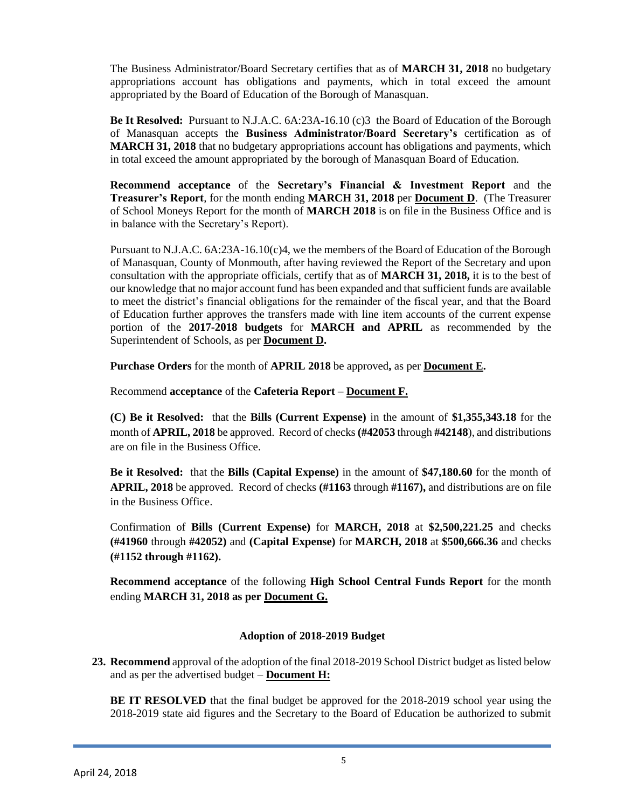The Business Administrator/Board Secretary certifies that as of **MARCH 31, 2018** no budgetary appropriations account has obligations and payments, which in total exceed the amount appropriated by the Board of Education of the Borough of Manasquan.

**Be It Resolved:** Pursuant to N.J.A.C. 6A:23A-16.10 (c)3 the Board of Education of the Borough of Manasquan accepts the **Business Administrator/Board Secretary's** certification as of **MARCH 31, 2018** that no budgetary appropriations account has obligations and payments, which in total exceed the amount appropriated by the borough of Manasquan Board of Education.

**Recommend acceptance** of the **Secretary's Financial & Investment Report** and the **Treasurer's Report**, for the month ending **MARCH 31, 2018** per **Document D**. (The Treasurer of School Moneys Report for the month of **MARCH 2018** is on file in the Business Office and is in balance with the Secretary's Report).

Pursuant to N.J.A.C. 6A:23A-16.10(c)4, we the members of the Board of Education of the Borough of Manasquan, County of Monmouth, after having reviewed the Report of the Secretary and upon consultation with the appropriate officials, certify that as of **MARCH 31, 2018,** it is to the best of our knowledge that no major account fund has been expanded and that sufficient funds are available to meet the district's financial obligations for the remainder of the fiscal year, and that the Board of Education further approves the transfers made with line item accounts of the current expense portion of the **2017-2018 budgets** for **MARCH and APRIL** as recommended by the Superintendent of Schools, as per **Document D.**

**Purchase Orders** for the month of **APRIL 2018** be approved**,** as per **Document E.**

Recommend **acceptance** of the **Cafeteria Report** – **Document F.**

**(C) Be it Resolved:** that the **Bills (Current Expense)** in the amount of **\$1,355,343.18** for the month of **APRIL, 2018** be approved. Record of checks **(#42053** through **#42148**), and distributions are on file in the Business Office.

**Be it Resolved:** that the **Bills (Capital Expense)** in the amount of **\$47,180.60** for the month of **APRIL, 2018** be approved. Record of checks **(#1163** through **#1167),** and distributions are on file in the Business Office.

Confirmation of **Bills (Current Expense)** for **MARCH, 2018** at **\$2,500,221.25** and checks **(#41960** through **#42052)** and **(Capital Expense)** for **MARCH, 2018** at **\$500,666.36** and checks **(#1152 through #1162).**

**Recommend acceptance** of the following **High School Central Funds Report** for the month ending **MARCH 31, 2018 as per Document G.**

### **Adoption of 2018-2019 Budget**

**23. Recommend** approval of the adoption of the final 2018-2019 School District budget as listed below and as per the advertised budget – **Document H:**

**BE IT RESOLVED** that the final budget be approved for the 2018-2019 school year using the 2018-2019 state aid figures and the Secretary to the Board of Education be authorized to submit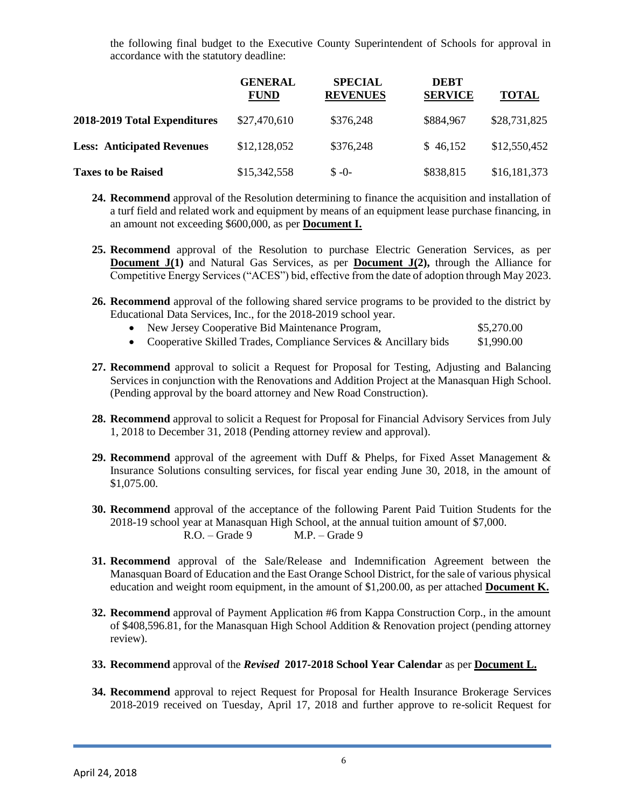the following final budget to the Executive County Superintendent of Schools for approval in accordance with the statutory deadline:

|                                   | <b>GENERAL</b><br><b>FUND</b> | <b>SPECIAL</b><br><b>REVENUES</b> | <b>DEBT</b><br><b>SERVICE</b> | <b>TOTAL</b> |
|-----------------------------------|-------------------------------|-----------------------------------|-------------------------------|--------------|
| 2018-2019 Total Expenditures      | \$27,470,610                  | \$376,248                         | \$884,967                     | \$28,731,825 |
| <b>Less: Anticipated Revenues</b> | \$12,128,052                  | \$376,248                         | \$46,152                      | \$12,550,452 |
| <b>Taxes to be Raised</b>         | \$15,342,558                  | $$ -0-$                           | \$838,815                     | \$16,181,373 |

- **24. Recommend** approval of the Resolution determining to finance the acquisition and installation of a turf field and related work and equipment by means of an equipment lease purchase financing, in an amount not exceeding \$600,000, as per **Document I.**
- **25. Recommend** approval of the Resolution to purchase Electric Generation Services, as per **Document J(1)** and Natural Gas Services, as per **Document J(2)**, through the Alliance for Competitive Energy Services ("ACES") bid, effective from the date of adoption through May 2023.
- **26. Recommend** approval of the following shared service programs to be provided to the district by Educational Data Services, Inc., for the 2018-2019 school year.
	- New Jersey Cooperative Bid Maintenance Program,  $$5,270.00$
	- Cooperative Skilled Trades, Compliance Services  $\&$  Ancillary bids  $$1,990.00$
- **27. Recommend** approval to solicit a Request for Proposal for Testing, Adjusting and Balancing Services in conjunction with the Renovations and Addition Project at the Manasquan High School. (Pending approval by the board attorney and New Road Construction).
- **28. Recommend** approval to solicit a Request for Proposal for Financial Advisory Services from July 1, 2018 to December 31, 2018 (Pending attorney review and approval).
- **29. Recommend** approval of the agreement with Duff & Phelps, for Fixed Asset Management & Insurance Solutions consulting services, for fiscal year ending June 30, 2018, in the amount of \$1,075.00.
- **30. Recommend** approval of the acceptance of the following Parent Paid Tuition Students for the 2018-19 school year at Manasquan High School, at the annual tuition amount of \$7,000. R.O. – Grade 9 M.P. – Grade 9
- **31. Recommend** approval of the Sale/Release and Indemnification Agreement between the Manasquan Board of Education and the East Orange School District, for the sale of various physical education and weight room equipment, in the amount of \$1,200.00, as per attached **Document K.**
- **32. Recommend** approval of Payment Application #6 from Kappa Construction Corp., in the amount of \$408,596.81, for the Manasquan High School Addition & Renovation project (pending attorney review).
- **33. Recommend** approval of the *Revised* **2017-2018 School Year Calendar** as per **Document L.**
- **34. Recommend** approval to reject Request for Proposal for Health Insurance Brokerage Services 2018-2019 received on Tuesday, April 17, 2018 and further approve to re-solicit Request for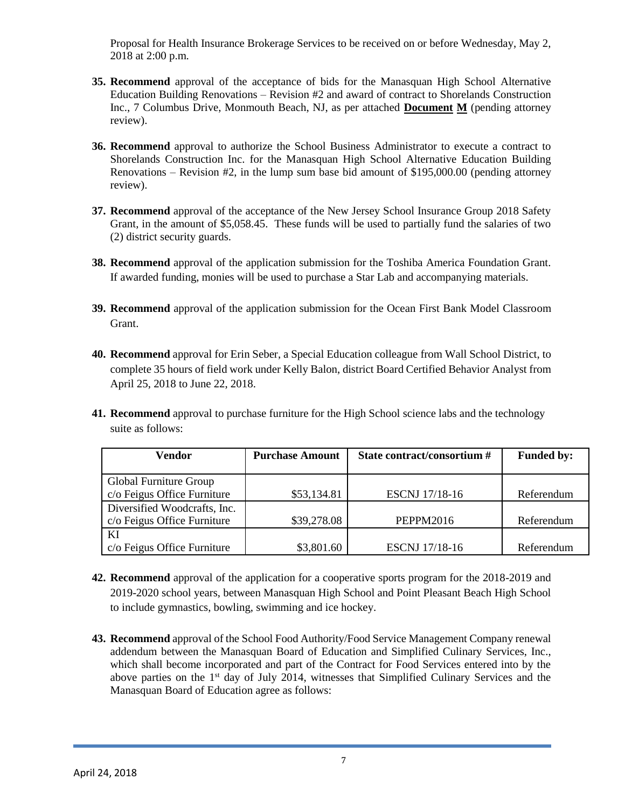Proposal for Health Insurance Brokerage Services to be received on or before Wednesday, May 2, 2018 at 2:00 p.m.

- **35. Recommend** approval of the acceptance of bids for the Manasquan High School Alternative Education Building Renovations – Revision #2 and award of contract to Shorelands Construction Inc., 7 Columbus Drive, Monmouth Beach, NJ, as per attached **Document M** (pending attorney review).
- **36. Recommend** approval to authorize the School Business Administrator to execute a contract to Shorelands Construction Inc. for the Manasquan High School Alternative Education Building Renovations – Revision  $#2$ , in the lump sum base bid amount of \$195,000.00 (pending attorney review).
- **37. Recommend** approval of the acceptance of the New Jersey School Insurance Group 2018 Safety Grant, in the amount of \$5,058.45. These funds will be used to partially fund the salaries of two (2) district security guards.
- **38. Recommend** approval of the application submission for the Toshiba America Foundation Grant. If awarded funding, monies will be used to purchase a Star Lab and accompanying materials.
- **39. Recommend** approval of the application submission for the Ocean First Bank Model Classroom Grant.
- **40. Recommend** approval for Erin Seber, a Special Education colleague from Wall School District, to complete 35 hours of field work under Kelly Balon, district Board Certified Behavior Analyst from April 25, 2018 to June 22, 2018.
- **41. Recommend** approval to purchase furniture for the High School science labs and the technology suite as follows:

| <b>Vendor</b>                                               | <b>Purchase Amount</b> | State contract/consortium # | <b>Funded by:</b> |
|-------------------------------------------------------------|------------------------|-----------------------------|-------------------|
| Global Furniture Group<br>c/o Feigus Office Furniture       | \$53,134.81            | <b>ESCNJ</b> 17/18-16       | Referendum        |
| Diversified Woodcrafts, Inc.<br>c/o Feigus Office Furniture | \$39,278.08            | <b>PEPPM2016</b>            | Referendum        |
| KI<br>c/o Feigus Office Furniture                           | \$3,801.60             | <b>ESCNJ</b> 17/18-16       | Referendum        |

- **42. Recommend** approval of the application for a cooperative sports program for the 2018-2019 and 2019-2020 school years, between Manasquan High School and Point Pleasant Beach High School to include gymnastics, bowling, swimming and ice hockey.
- **43. Recommend** approval of the School Food Authority/Food Service Management Company renewal addendum between the Manasquan Board of Education and Simplified Culinary Services, Inc., which shall become incorporated and part of the Contract for Food Services entered into by the above parties on the  $1<sup>st</sup>$  day of July 2014, witnesses that Simplified Culinary Services and the Manasquan Board of Education agree as follows: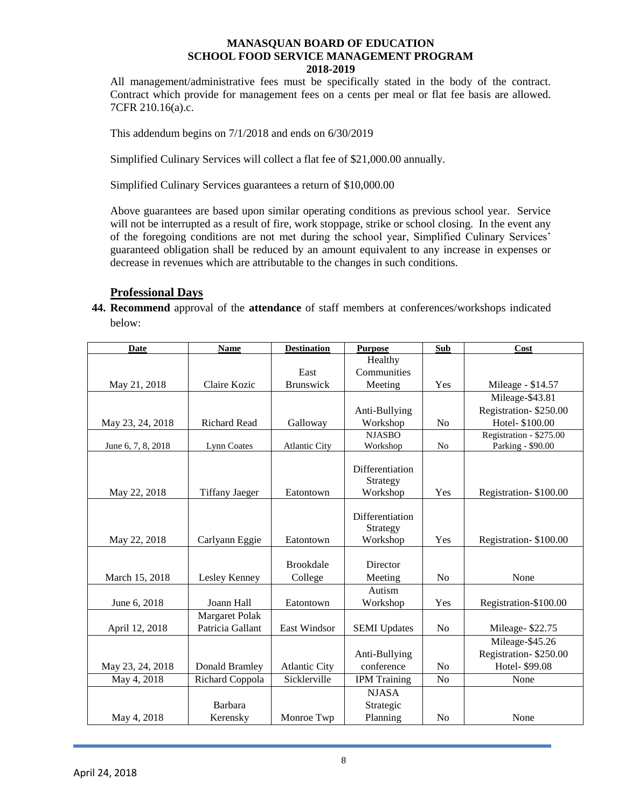#### **MANASQUAN BOARD OF EDUCATION SCHOOL FOOD SERVICE MANAGEMENT PROGRAM 2018-2019**

All management/administrative fees must be specifically stated in the body of the contract. Contract which provide for management fees on a cents per meal or flat fee basis are allowed. 7CFR 210.16(a).c.

This addendum begins on 7/1/2018 and ends on 6/30/2019

Simplified Culinary Services will collect a flat fee of \$21,000.00 annually.

Simplified Culinary Services guarantees a return of \$10,000.00

Above guarantees are based upon similar operating conditions as previous school year. Service will not be interrupted as a result of fire, work stoppage, strike or school closing. In the event any of the foregoing conditions are not met during the school year, Simplified Culinary Services' guaranteed obligation shall be reduced by an amount equivalent to any increase in expenses or decrease in revenues which are attributable to the changes in such conditions.

#### **Professional Days**

**44. Recommend** approval of the **attendance** of staff members at conferences/workshops indicated below:

| <b>Date</b>        | <b>Name</b>           | <b>Destination</b>   | <b>Purpose</b>       | Sub            | Cost                    |
|--------------------|-----------------------|----------------------|----------------------|----------------|-------------------------|
|                    |                       |                      | Healthy              |                |                         |
|                    |                       | East                 | Communities          |                |                         |
| May 21, 2018       | Claire Kozic          | Brunswick            | Meeting              | Yes            | Mileage - \$14.57       |
|                    |                       |                      |                      |                | Mileage-\$43.81         |
|                    |                       |                      | Anti-Bullying        |                | Registration-\$250.00   |
| May 23, 24, 2018   | Richard Read          | Galloway             | Workshop             | N <sub>o</sub> | Hotel- \$100.00         |
|                    |                       |                      | <b>NJASBO</b>        |                | Registration - \$275.00 |
| June 6, 7, 8, 2018 | Lynn Coates           | <b>Atlantic City</b> | Workshop             | N <sub>o</sub> | Parking - \$90.00       |
|                    |                       |                      |                      |                |                         |
|                    |                       |                      | Differentiation      |                |                         |
|                    |                       |                      | Strategy             |                |                         |
| May 22, 2018       | <b>Tiffany Jaeger</b> | Eatontown            | Workshop             | Yes            | Registration-\$100.00   |
|                    |                       |                      | Differentiation      |                |                         |
|                    |                       |                      |                      |                |                         |
|                    |                       | Eatontown            | Strategy<br>Workshop | Yes            | Registration-\$100.00   |
| May 22, 2018       | Carlyann Eggie        |                      |                      |                |                         |
|                    |                       | <b>Brookdale</b>     | Director             |                |                         |
| March 15, 2018     | Lesley Kenney         | College              | Meeting              | N <sub>o</sub> | None                    |
|                    |                       |                      | Autism               |                |                         |
|                    |                       |                      |                      |                |                         |
| June 6, 2018       | Joann Hall            | Eatontown            | Workshop             | Yes            | Registration-\$100.00   |
|                    | <b>Margaret Polak</b> |                      |                      |                |                         |
| April 12, 2018     | Patricia Gallant      | East Windsor         | <b>SEMI</b> Updates  | No             | Mileage-\$22.75         |
|                    |                       |                      |                      |                | Mileage-\$45.26         |
|                    |                       |                      | Anti-Bullying        |                | Registration-\$250.00   |
| May 23, 24, 2018   | Donald Bramley        | <b>Atlantic City</b> | conference           | N <sub>o</sub> | Hotel- \$99.08          |
| May 4, 2018        | Richard Coppola       | Sicklerville         | <b>IPM</b> Training  | N <sub>o</sub> | None                    |
|                    |                       |                      | <b>NJASA</b>         |                |                         |
|                    | Barbara               |                      | Strategic            |                |                         |
| May 4, 2018        | Kerensky              | Monroe Twp           | Planning             | No             | None                    |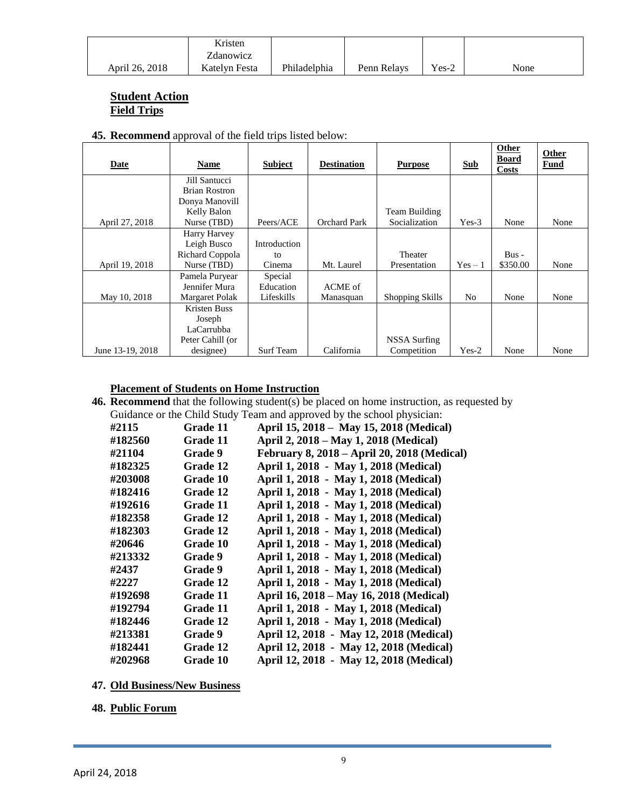|                | Kristen       |              |             |         |      |
|----------------|---------------|--------------|-------------|---------|------|
|                | Zdanowicz     |              |             |         |      |
| April 26, 2018 | Katelyn Festa | Philadelphia | Penn Relays | $Yes-2$ | None |

### **Student Action Field Trips**

| <b>45. Recommend</b> approval of the field trips listed below: |  |  |  |
|----------------------------------------------------------------|--|--|--|
|                                                                |  |  |  |

| Date             | Name                 | <b>Subject</b>   | <b>Destination</b> | <b>Purpose</b>  | <b>Sub</b> | <b>Other</b><br><b>Board</b><br><b>Costs</b> | Other<br><b>Fund</b> |
|------------------|----------------------|------------------|--------------------|-----------------|------------|----------------------------------------------|----------------------|
|                  | Jill Santucci        |                  |                    |                 |            |                                              |                      |
|                  | <b>Brian Rostron</b> |                  |                    |                 |            |                                              |                      |
|                  | Donya Manovill       |                  |                    |                 |            |                                              |                      |
|                  | Kelly Balon          |                  |                    | Team Building   |            |                                              |                      |
| April 27, 2018   | Nurse (TBD)          | Peers/ACE        | Orchard Park       | Socialization   | $Yes-3$    | None                                         | None                 |
|                  | Harry Harvey         |                  |                    |                 |            |                                              |                      |
|                  | Leigh Busco          | Introduction     |                    |                 |            |                                              |                      |
|                  | Richard Coppola      | to               |                    | Theater         |            | $Bus -$                                      |                      |
| April 19, 2018   | Nurse (TBD)          | Cinema           | Mt. Laurel         | Presentation    | $Yes - 1$  | \$350.00                                     | None                 |
|                  | Pamela Puryear       | Special          |                    |                 |            |                                              |                      |
|                  | Jennifer Mura        | Education        | ACME of            |                 |            |                                              |                      |
| May 10, 2018     | Margaret Polak       | Lifeskills       | Manasquan          | Shopping Skills | No         | None                                         | None                 |
|                  | Kristen Buss         |                  |                    |                 |            |                                              |                      |
|                  | Joseph               |                  |                    |                 |            |                                              |                      |
|                  | LaCarrubba           |                  |                    |                 |            |                                              |                      |
|                  | Peter Cahill (or     |                  |                    | NSSA Surfing    |            |                                              |                      |
| June 13-19, 2018 | designee)            | <b>Surf Team</b> | California         | Competition     | $Yes-2$    | None                                         | None                 |

### **Placement of Students on Home Instruction**

**46. Recommend** that the following student(s) be placed on home instruction, as requested by Guidance or the Child Study Team and approved by the school physician:

| #2115   | Grade 11       | April 15, 2018 - May 15, 2018 (Medical)     |
|---------|----------------|---------------------------------------------|
| #182560 | Grade 11       | April 2, 2018 – May 1, 2018 (Medical)       |
| #21104  | <b>Grade</b> 9 | February 8, 2018 - April 20, 2018 (Medical) |
| #182325 | Grade 12       | April 1, 2018 - May 1, 2018 (Medical)       |
| #203008 | Grade 10       | April 1, 2018 - May 1, 2018 (Medical)       |
| #182416 | Grade 12       | April 1, 2018 - May 1, 2018 (Medical)       |
| #192616 | Grade 11       | April 1, 2018 - May 1, 2018 (Medical)       |
| #182358 | Grade 12       | April 1, 2018 - May 1, 2018 (Medical)       |
| #182303 | Grade 12       | April 1, 2018 - May 1, 2018 (Medical)       |
| #20646  | Grade 10       | April 1, 2018 - May 1, 2018 (Medical)       |
| #213332 | <b>Grade</b> 9 | April 1, 2018 - May 1, 2018 (Medical)       |
| #2437   | Grade 9        | April 1, 2018 - May 1, 2018 (Medical)       |
| #2227   | Grade 12       | April 1, 2018 - May 1, 2018 (Medical)       |
| #192698 | Grade 11       | April 16, 2018 – May 16, 2018 (Medical)     |
| #192794 | Grade 11       | April 1, 2018 - May 1, 2018 (Medical)       |
| #182446 | Grade 12       | April 1, 2018 - May 1, 2018 (Medical)       |
| #213381 | <b>Grade</b> 9 | April 12, 2018 - May 12, 2018 (Medical)     |
| #182441 | Grade 12       | April 12, 2018 - May 12, 2018 (Medical)     |
| #202968 | Grade 10       | April 12, 2018 - May 12, 2018 (Medical)     |

- **47. Old Business/New Business**
- **48. Public Forum**